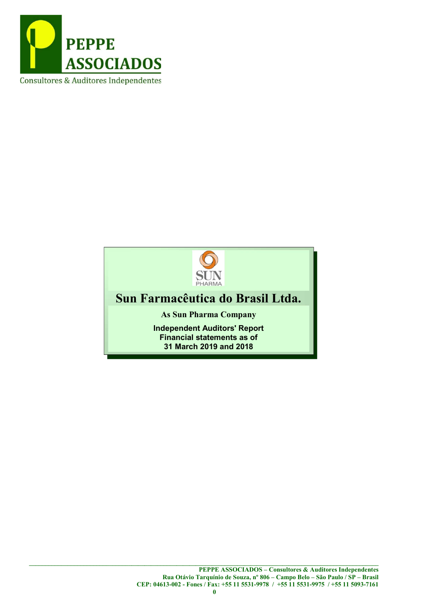



# Sun Farmacêutica do Brasil Ltda.

As Sun Pharma Company

Independent Auditors' Report Financial statements as of 31 March 2019 and 2018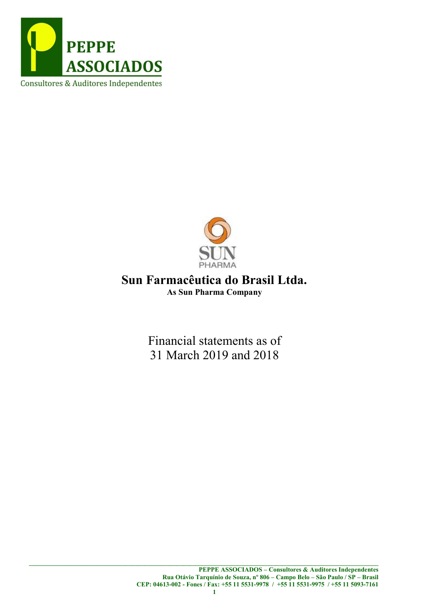



# Sun Farmacêutica do Brasil Ltda. As Sun Pharma Company

Financial statements as of 31 March 2019 and 2018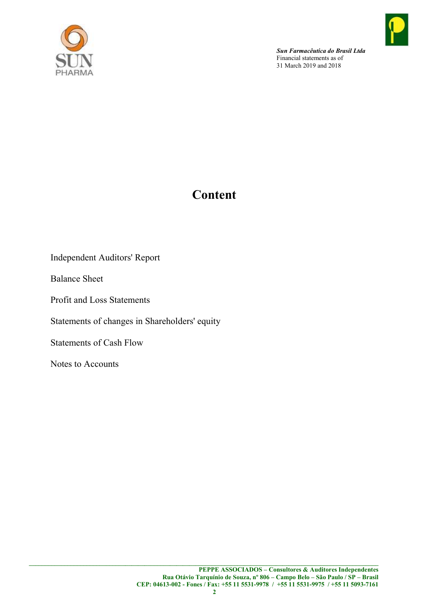

# Content

Independent Auditors' Report

Balance Sheet

Profit and Loss Statements

Statements of changes in Shareholders' equity

Statements of Cash Flow

Notes to Accounts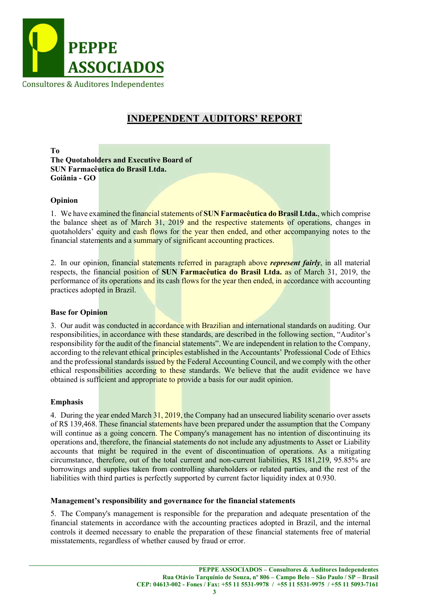

# INDEPENDENT AUDITORS' REPORT

To The Quotaholders and Executive Board of SUN Farmacêutica do Brasil Ltda. Goiânia - GO

#### Opinion

1. We have examined the financial statements of SUN Farmaceutica do Brasil Ltda., which comprise the balance sheet as of March 31, 2019 and the respective statements of operations, changes in quotaholders' equity and cash flows for the year then ended, and other accompanying notes to the financial statements and a summary of significant accounting practices.

2. In our opinion, financial statements referred in paragraph above represent fairly, in all material respects, the financial position of SUN Farmacêutica do Brasil Ltda. as of March 31, 2019, the performance of its operations and its cash flows for the year then ended, in accordance with accounting practices adopted in Brazil.

#### Base for Opinion

3. Our audit was conducted in accordance with Brazilian and international standards on auditing. Our responsibilities, in accordance with these standards, are described in the following section, "Auditor's responsibility for the audit of the financial statements". We are independent in relation to the Company, according to the relevant ethical principles established in the Accountants' Professional Code of Ethics and the professional standards issued by the Federal Accounting Council, and we comply with the other ethical responsibilities according to these standards. We believe that the audit evidence we have obtained is sufficient and appropriate to provide a basis for our audit opinion.

#### Emphasis

4. During the year ended March 31, 2019, the Company had an unsecured liability scenario over assets of R\$ 139,468. These financial statements have been prepared under the assumption that the Company will continue as a going concern. The Company's management has no intention of discontinuing its operations and, therefore, the financial statements do not include any adjustments to Asset or Liability accounts that might be required in the event of discontinuation of operations. As a mitigating circumstance, therefore, out of the total current and non-current liabilities, R\$ 181,219, 95.85% are borrowings and supplies taken from controlling shareholders or related parties, and the rest of the liabilities with third parties is perfectly supported by current factor liquidity index at 0.930.

#### Management's responsibility and governance for the financial statements

5. The Company's management is responsible for the preparation and adequate presentation of the financial statements in accordance with the accounting practices adopted in Brazil, and the internal controls it deemed necessary to enable the preparation of these financial statements free of material misstatements, regardless of whether caused by fraud or error.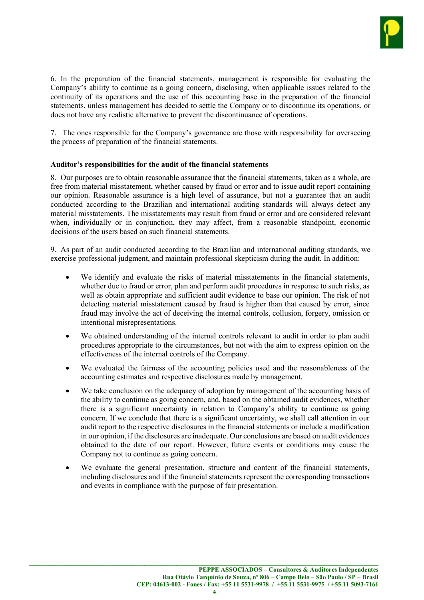

6. In the preparation of the financial statements, management is responsible for evaluating the Company's ability to continue as a going concern, disclosing, when applicable issues related to the continuity of its operations and the use of this accounting base in the preparation of the financial statements, unless management has decided to settle the Company or to discontinue its operations, or does not have any realistic alternative to prevent the discontinuance of operations.

7. The ones responsible for the Company's governance are those with responsibility for overseeing the process of preparation of the financial statements.

#### Auditor's responsibilities for the audit of the financial statements

8. Our purposes are to obtain reasonable assurance that the financial statements, taken as a whole, are free from material misstatement, whether caused by fraud or error and to issue audit report containing our opinion. Reasonable assurance is a high level of assurance, but not a guarantee that an audit conducted according to the Brazilian and international auditing standards will always detect any material misstatements. The misstatements may result from fraud or error and are considered relevant when, individually or in conjunction, they may affect, from a reasonable standpoint, economic decisions of the users based on such financial statements.

9. As part of an audit conducted according to the Brazilian and international auditing standards, we exercise professional judgment, and maintain professional skepticism during the audit. In addition:

- We identify and evaluate the risks of material misstatements in the financial statements, whether due to fraud or error, plan and perform audit procedures in response to such risks, as well as obtain appropriate and sufficient audit evidence to base our opinion. The risk of not detecting material misstatement caused by fraud is higher than that caused by error, since fraud may involve the act of deceiving the internal controls, collusion, forgery, omission or intentional misrepresentations.
- We obtained understanding of the internal controls relevant to audit in order to plan audit procedures appropriate to the circumstances, but not with the aim to express opinion on the effectiveness of the internal controls of the Company.
- We evaluated the fairness of the accounting policies used and the reasonableness of the accounting estimates and respective disclosures made by management.
- We take conclusion on the adequacy of adoption by management of the accounting basis of the ability to continue as going concern, and, based on the obtained audit evidences, whether there is a significant uncertainty in relation to Company's ability to continue as going concern. If we conclude that there is a significant uncertainty, we shall call attention in our audit report to the respective disclosures in the financial statements or include a modification in our opinion, if the disclosures are inadequate. Our conclusions are based on audit evidences obtained to the date of our report. However, future events or conditions may cause the Company not to continue as going concern.
- We evaluate the general presentation, structure and content of the financial statements, including disclosures and if the financial statements represent the corresponding transactions and events in compliance with the purpose of fair presentation.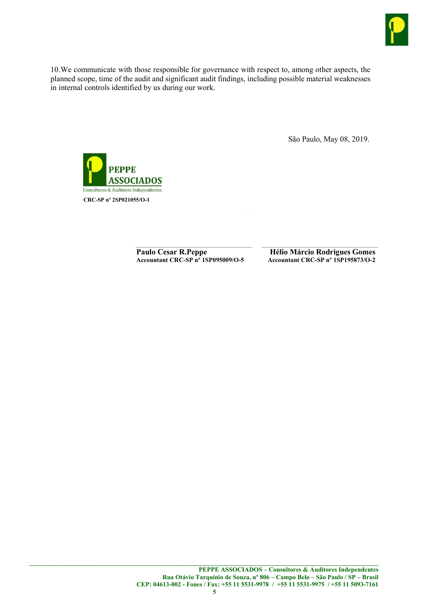

10.We communicate with those responsible for governance with respect to, among other aspects, the planned scope, time of the audit and significant audit findings, including possible material weaknesses in internal controls identified by us during our work.

São Paulo, May 08, 2019.



Paulo Cesar R.Peppe<br>Accountant CRC-SP nº 1SP095009/O-5<br>Accountant CRC-SP nº 1SP195873/O-2

Accountant CRC-SP nº 1SP195873/O-2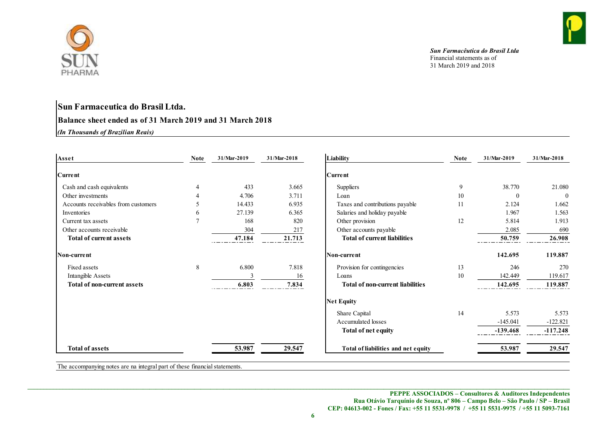

# Sun Farmaceutica do Brasil Ltda. Balance sheet ended as of 31 March 2019 and 31 March 2018

| PHARMA                                                                                        |                |                         |                                              |                                     | Sun Farmacêutica do Brasil Ltda<br>Financial statements as of<br>31 March 2019 and 2018 |                    |                |
|-----------------------------------------------------------------------------------------------|----------------|-------------------------|----------------------------------------------|-------------------------------------|-----------------------------------------------------------------------------------------|--------------------|----------------|
| Sun Farmaceutica do Brasil Ltda.<br>Balance sheet ended as of 31 March 2019 and 31 March 2018 |                |                         |                                              |                                     |                                                                                         |                    |                |
| (In Thousands of Brazilian Reais)                                                             |                |                         |                                              |                                     |                                                                                         |                    |                |
|                                                                                               |                |                         |                                              |                                     |                                                                                         |                    |                |
| Asset                                                                                         | <b>Note</b>    | 31/Mar-2019             | 31/Mar-2018                                  | Liability                           | Note                                                                                    | 31/Mar-2019        | $31/Mar-2018$  |
| <b>Current</b>                                                                                |                |                         |                                              | Current                             |                                                                                         |                    |                |
| Cash and cash equivalents                                                                     |                | 433                     | 3.665                                        | Suppliers                           | 9                                                                                       | 38.770             | 21.080         |
| Other investments                                                                             | 4              | 4.706                   | 3.711                                        | Loan                                | 10 <sup>°</sup>                                                                         | $\theta$           | $\overline{0}$ |
| Accounts receivables from customers                                                           | 5              | 14.433                  | 6.935                                        | Taxes and contributions payable     | 11                                                                                      | 2.124              | 1.662          |
| Inventories                                                                                   | 6              | 27.139                  | 6.365                                        | Salaries and holiday payable        |                                                                                         | 1.967              | 1.563          |
| Current tax assets                                                                            | $\overline{7}$ | 168                     | 820                                          | Other provision                     | 12                                                                                      | 5.814              | 1.913          |
| Other accounts receivable                                                                     |                | 304                     | 217                                          | Other accounts payable              |                                                                                         | 2.085              | 690            |
| Total of current assets                                                                       |                | 47.184                  | 21.713                                       | <b>Total of current liabilities</b> |                                                                                         | 50.759<br>$- - -$  | 26.908         |
| Non-current                                                                                   |                |                         |                                              | Non-current                         |                                                                                         | 142.695            | 119.887        |
| Fixed assets                                                                                  | 8              | 6.800                   | 7.818                                        | Provision for contingencies         | 13                                                                                      | 246                | 270            |
| Intangible Assets                                                                             |                |                         | 16                                           | Loans                               | 10                                                                                      | 142.449            | 119.617        |
| Total of non-current assets                                                                   |                | 6.803<br>. <del>.</del> | 7.834<br>$\qquad \qquad - \qquad - \qquad -$ | Total of non-current liabilities    |                                                                                         | 142.695<br>$--- -$ | 119.887        |
|                                                                                               |                |                         |                                              | Net Equity                          |                                                                                         |                    |                |
|                                                                                               |                |                         |                                              | Share Capital                       | 14                                                                                      | 5.573              | 5.573          |
|                                                                                               |                |                         |                                              |                                     |                                                                                         | $-145.041$         | $-122.821$     |
|                                                                                               |                |                         |                                              | Accumulated losses                  |                                                                                         |                    |                |
|                                                                                               |                |                         |                                              | Total of net equity                 |                                                                                         | $-139.468$         | $-117.248$     |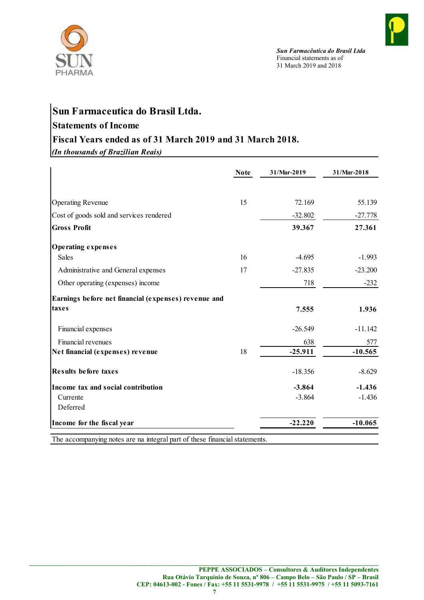



# Sun Farmaceutica do Brasil Ltda.

# Statements of Income

# Fiscal Years ended as of 31 March 2019 and 31 March 2018.

| Financial statements as of<br>31 March 2019 and 2018                |
|---------------------------------------------------------------------|
| Sun Farmaceutica do Brasil Ltda.                                    |
| <b>Statements of Income</b>                                         |
| Fiscal Years ended as of 31 March 2019 and 31 March 2018.           |
| (In thousands of Brazilian Reais)                                   |
| <b>Note</b><br>31/Mar-2019<br>31/Mar-2018                           |
|                                                                     |
| <b>Operating Revenue</b><br>15<br>72.169<br>55.139                  |
| Cost of goods sold and services rendered<br>$-32.802$<br>$-27.778$  |
| <b>Gross Profit</b><br>39.367<br>27.361                             |
| Operating expenses                                                  |
| Sales<br>16<br>$-4.695$<br>$-1.993$                                 |
| 17<br>Administrative and General expenses<br>$-27.835$<br>$-23.200$ |
| Other operating (expenses) income<br>718<br>$-232$                  |
| Earnings before net financial (expenses) revenue and                |
| taxes<br>7.555<br>1.936                                             |
| $-11.142$<br>Financial expenses<br>$-26.549$                        |
| Financial revenues<br>638                                           |
| Net financial (expenses) revenue<br>18<br>$-25.911$<br>$-10.565$    |
| <b>Results before taxes</b><br>$-8.629$<br>$-18.356$                |
| Income tax and social contribution<br>$-3.864$<br>$-1.436$          |
| $-3.864$<br>$-1.436$<br>Currente<br>Deferred                        |
| $-22.220$<br>$-10.065$<br>Income for the fiscal year                |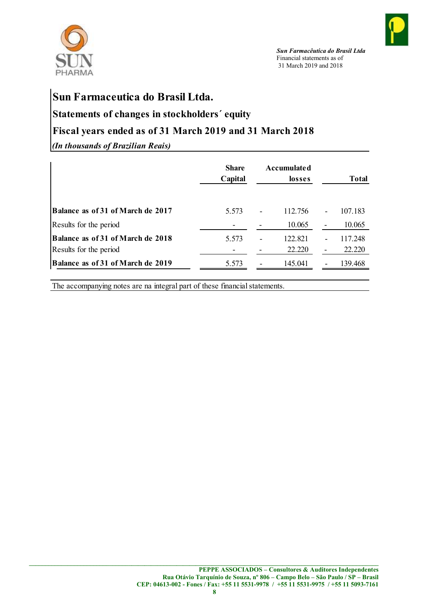



# Sun Farmaceutica do Brasil Ltda.

# Statements of changes in stockholders´ equity

# Fiscal years ended as of 31 March 2019 and 31 March 2018

| PHARMA                                                                                        |                         | Sun Farmacêutica do Brasil Ltda<br>Financial statements as of<br>31 March 2019 and 2018 |                   |
|-----------------------------------------------------------------------------------------------|-------------------------|-----------------------------------------------------------------------------------------|-------------------|
| Sun Farmaceutica do Brasil Ltda.<br>Statements of changes in stockholders' equity             |                         |                                                                                         |                   |
|                                                                                               |                         |                                                                                         |                   |
|                                                                                               |                         |                                                                                         |                   |
|                                                                                               |                         |                                                                                         |                   |
| Fiscal years ended as of 31 March 2019 and 31 March 2018<br>(In thousands of Brazilian Reais) | <b>Share</b><br>Capital | <b>Accumulated</b><br>losses                                                            | <b>Total</b>      |
| Balance as of 31 of March de 2017                                                             |                         |                                                                                         |                   |
|                                                                                               | 5.573                   | 112.756<br>10.065                                                                       | 107.183<br>10.065 |
| Results for the period<br>Balance as of 31 of March de 2018                                   | 5.573                   | 122.821                                                                                 | 117.248           |
| Results for the period                                                                        |                         | 22.220                                                                                  | 22.220            |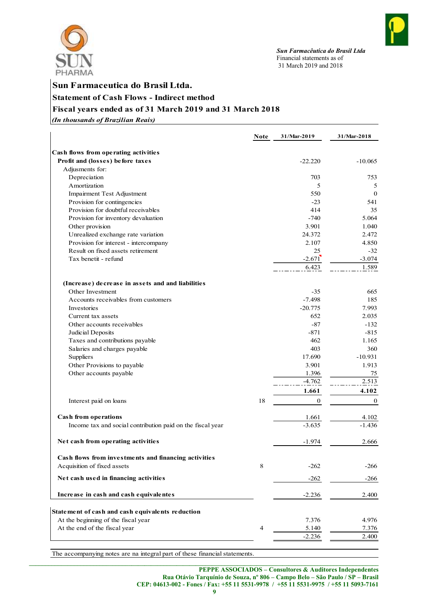



# Sun Farmaceutica do Brasil Ltda. Statement of Cash Flows - Indirect method

# Fiscal years ended as of 31 March 2019 and 31 March 2018

| PHARMA<br>Sun Farmaceutica do Brasil Ltda.<br><b>Statement of Cash Flows - Indirect method</b><br>Fiscal years ended as of 31 March 2019 and 31 March 2018<br>(In thousands of Brazilian Reais) |             | Sun Farmacêutica do Brasil Ltda<br>Financial statements as of<br>31 March 2019 and 2018 |                       |
|-------------------------------------------------------------------------------------------------------------------------------------------------------------------------------------------------|-------------|-----------------------------------------------------------------------------------------|-----------------------|
|                                                                                                                                                                                                 |             |                                                                                         |                       |
|                                                                                                                                                                                                 |             |                                                                                         |                       |
|                                                                                                                                                                                                 |             |                                                                                         |                       |
|                                                                                                                                                                                                 |             |                                                                                         |                       |
|                                                                                                                                                                                                 |             |                                                                                         |                       |
|                                                                                                                                                                                                 | <b>Note</b> | 31/Mar-2019                                                                             | 31/Mar-2018           |
| Cash flows from operating activities                                                                                                                                                            |             |                                                                                         |                       |
| Profit and (losses) before taxes                                                                                                                                                                |             | $-22.220$                                                                               | $-10.065$             |
| Adjusments for:<br>Depreciation                                                                                                                                                                 |             | 703                                                                                     | 753                   |
| Amortization                                                                                                                                                                                    |             | 5                                                                                       | 5                     |
| Impairment Test Adjustment                                                                                                                                                                      |             | 550                                                                                     | $\mathbf{0}$          |
| Provision for contingencies                                                                                                                                                                     |             | $-23$<br>414                                                                            | 541<br>35             |
| Provision for doubtful receivables<br>Provision for inventory devaluation                                                                                                                       |             | $-740$                                                                                  | 5.064                 |
| Other provision                                                                                                                                                                                 |             | 3.901                                                                                   | 1.040                 |
| Unrealized exchange rate variation                                                                                                                                                              |             | 24.372                                                                                  | 2.472                 |
| Provision for interest - intercompany<br>Result on fixed assets retirement                                                                                                                      |             | 2.107<br>25                                                                             | 4.850<br>$-32$        |
| Tax benetit - refund                                                                                                                                                                            |             | $-2.671$                                                                                | $-3.074$              |
|                                                                                                                                                                                                 |             | 6.423                                                                                   | 1.589                 |
| (Increase) decrease in assets and and liabilities                                                                                                                                               |             |                                                                                         |                       |
| Other Investment                                                                                                                                                                                |             | $-35$                                                                                   | 665                   |
| Accounts receivables from customers                                                                                                                                                             |             | $-7.498$                                                                                | 185                   |
| Investories<br>Current tax assets                                                                                                                                                               |             | $-20.775$<br>652                                                                        | 7.993<br>2.035        |
| Other accounts receivables                                                                                                                                                                      |             | $-87$                                                                                   | $-132$                |
| Judicial Deposits                                                                                                                                                                               |             | $-871$                                                                                  | $-815$                |
| Taxes and contributions payable                                                                                                                                                                 |             | 462                                                                                     | 1.165                 |
| Salaries and charges payable<br>Suppliers                                                                                                                                                       |             | 403<br>17.690                                                                           | 360<br>$-10.931$      |
| Other Provisions to payable                                                                                                                                                                     |             | 3.901                                                                                   | 1.913                 |
| Other accounts payable                                                                                                                                                                          |             | 1.396                                                                                   | 75                    |
|                                                                                                                                                                                                 |             | $-4.762$                                                                                | 2.513                 |
| Interest paid on loans                                                                                                                                                                          | 18          | 1.661<br>$\mathbf{0}$                                                                   | 4.102<br>$\mathbf{0}$ |
|                                                                                                                                                                                                 |             |                                                                                         |                       |
| Cash from operations                                                                                                                                                                            |             | 1.661                                                                                   | 4.102                 |
| Income tax and social contribution paid on the fiscal year                                                                                                                                      |             | $-3.635$                                                                                | $-1.436$              |
| Net cash from operating activities                                                                                                                                                              |             | $-1.974$                                                                                | 2.666                 |
| Cash flows from investments and financing activities                                                                                                                                            |             |                                                                                         |                       |
| Acquisition of fixed assets                                                                                                                                                                     | 8           | $-262$                                                                                  | $-266$                |
| Net cash used in financing activities                                                                                                                                                           |             | $-262$                                                                                  | $-266$                |
| Increase in cash and cash equivalentes                                                                                                                                                          |             | $-2.236$                                                                                | 2.400                 |
|                                                                                                                                                                                                 |             |                                                                                         |                       |
| Statement of cash and cash equivalents reduction                                                                                                                                                |             |                                                                                         |                       |
| At the beginning of the fiscal year<br>At the end of the fiscal year                                                                                                                            | 4           | 7.376<br>5.140                                                                          | 4.976<br>7.376        |
|                                                                                                                                                                                                 |             | $-2.236$                                                                                | 2.400                 |
|                                                                                                                                                                                                 |             |                                                                                         |                       |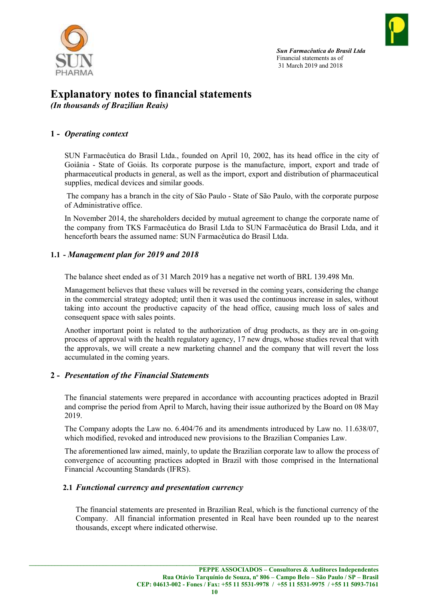

# Explanatory notes to financial statements

(In thousands of Brazilian Reais)

# 1 - Operating context

SUN Farmacêutica do Brasil Ltda., founded on April 10, 2002, has its head office in the city of Goiânia - State of Goiás. Its corporate purpose is the manufacture, import, export and trade of pharmaceutical products in general, as well as the import, export and distribution of pharmaceutical supplies, medical devices and similar goods.

 The company has a branch in the city of São Paulo - State of São Paulo, with the corporate purpose of Administrative office.

In November 2014, the shareholders decided by mutual agreement to change the corporate name of the company from TKS Farmacêutica do Brasil Ltda to SUN Farmacêutica do Brasil Ltda, and it henceforth bears the assumed name: SUN Farmacêutica do Brasil Ltda.

# 1.1 - Management plan for 2019 and 2018

The balance sheet ended as of 31 March 2019 has a negative net worth of BRL 139.498 Mn.

Management believes that these values will be reversed in the coming years, considering the change in the commercial strategy adopted; until then it was used the continuous increase in sales, without taking into account the productive capacity of the head office, causing much loss of sales and consequent space with sales points.

Another important point is related to the authorization of drug products, as they are in on-going process of approval with the health regulatory agency, 17 new drugs, whose studies reveal that with the approvals, we will create a new marketing channel and the company that will revert the loss accumulated in the coming years.

# 2 - Presentation of the Financial Statements

The financial statements were prepared in accordance with accounting practices adopted in Brazil and comprise the period from April to March, having their issue authorized by the Board on 08 May 2019.

The Company adopts the Law no. 6.404/76 and its amendments introduced by Law no. 11.638/07, which modified, revoked and introduced new provisions to the Brazilian Companies Law.

The aforementioned law aimed, mainly, to update the Brazilian corporate law to allow the process of convergence of accounting practices adopted in Brazil with those comprised in the International Financial Accounting Standards (IFRS).

# 2.1 Functional currency and presentation currency

The financial statements are presented in Brazilian Real, which is the functional currency of the Company. All financial information presented in Real have been rounded up to the nearest thousands, except where indicated otherwise.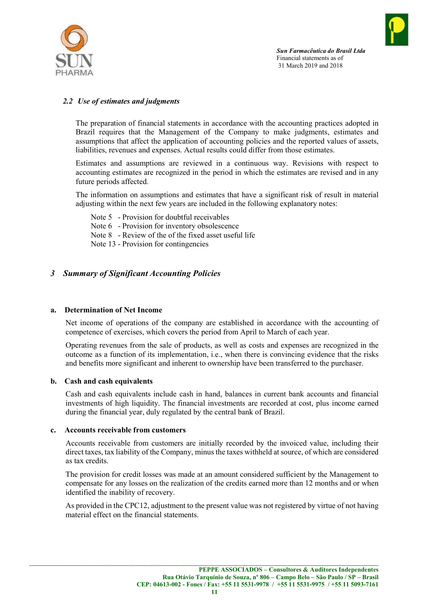



## 2.2 Use of estimates and judgments

The preparation of financial statements in accordance with the accounting practices adopted in Brazil requires that the Management of the Company to make judgments, estimates and assumptions that affect the application of accounting policies and the reported values of assets, liabilities, revenues and expenses. Actual results could differ from those estimates.

Estimates and assumptions are reviewed in a continuous way. Revisions with respect to accounting estimates are recognized in the period in which the estimates are revised and in any future periods affected.

The information on assumptions and estimates that have a significant risk of result in material adjusting within the next few years are included in the following explanatory notes:

- Note 5 Provision for doubtful receivables
- Note 6 Provision for inventory obsolescence
- Note 8 Review of the of the fixed asset useful life

Note 13 - Provision for contingencies

## 3 Summary of Significant Accounting Policies

#### a. Determination of Net Income

Net income of operations of the company are established in accordance with the accounting of competence of exercises, which covers the period from April to March of each year.

Operating revenues from the sale of products, as well as costs and expenses are recognized in the outcome as a function of its implementation, i.e., when there is convincing evidence that the risks and benefits more significant and inherent to ownership have been transferred to the purchaser.

#### b. Cash and cash equivalents

Cash and cash equivalents include cash in hand, balances in current bank accounts and financial investments of high liquidity. The financial investments are recorded at cost, plus income earned during the financial year, duly regulated by the central bank of Brazil.

#### c. Accounts receivable from customers

Accounts receivable from customers are initially recorded by the invoiced value, including their direct taxes, tax liability of the Company, minus the taxes withheld at source, of which are considered as tax credits.

The provision for credit losses was made at an amount considered sufficient by the Management to compensate for any losses on the realization of the credits earned more than 12 months and or when identified the inability of recovery.

As provided in the CPC12, adjustment to the present value was not registered by virtue of not having material effect on the financial statements.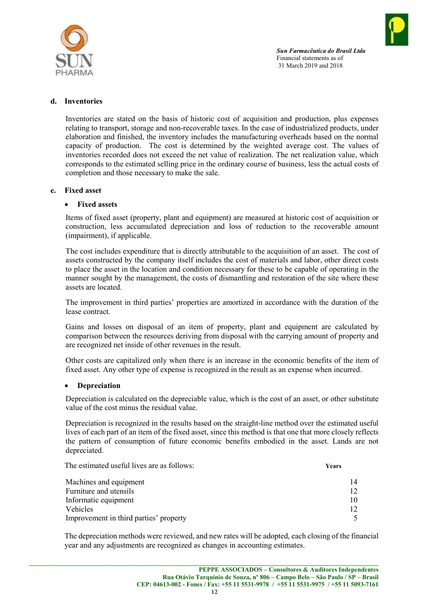

#### d. Inventories

Inventories are stated on the basis of historic cost of acquisition and production, plus expenses relating to transport, storage and non-recoverable taxes. In the case of industrialized products, under elaboration and finished, the inventory includes the manufacturing overheads based on the normal capacity of production. The cost is determined by the weighted average cost. The values of inventories recorded does not exceed the net value of realization. The net realization value, which corresponds to the estimated selling price in the ordinary course of business, less the actual costs of completion and those necessary to make the sale.

#### e. Fixed asset

#### • Fixed assets

Items of fixed asset (property, plant and equipment) are measured at historic cost of acquisition or construction, less accumulated depreciation and loss of reduction to the recoverable amount (impairment), if applicable.

The cost includes expenditure that is directly attributable to the acquisition of an asset. The cost of assets constructed by the company itself includes the cost of materials and labor, other direct costs to place the asset in the location and condition necessary for these to be capable of operating in the manner sought by the management, the costs of dismantling and restoration of the site where these assets are located.

The improvement in third parties' properties are amortized in accordance with the duration of the lease contract.

Gains and losses on disposal of an item of property, plant and equipment are calculated by comparison between the resources deriving from disposal with the carrying amount of property and are recognized net inside of other revenues in the result.

Other costs are capitalized only when there is an increase in the economic benefits of the item of fixed asset. Any other type of expense is recognized in the result as an expense when incurred.

#### Depreciation

Depreciation is calculated on the depreciable value, which is the cost of an asset, or other substitute value of the cost minus the residual value.

Depreciation is recognized in the results based on the straight-line method over the estimated useful lives of each part of an item of the fixed asset, since this method is that one that more closely reflects the pattern of consumption of future economic benefits embodied in the asset. Lands are not depreciated.

The estimated useful lives are as follows: Years Machines and equipment 14 Furniture and utensils 12 Informatic equipment 10 Vehicles 12 Improvement in third parties' property 5

The depreciation methods were reviewed, and new rates will be adopted, each closing of the financial year and any adjustments are recognized as changes in accounting estimates.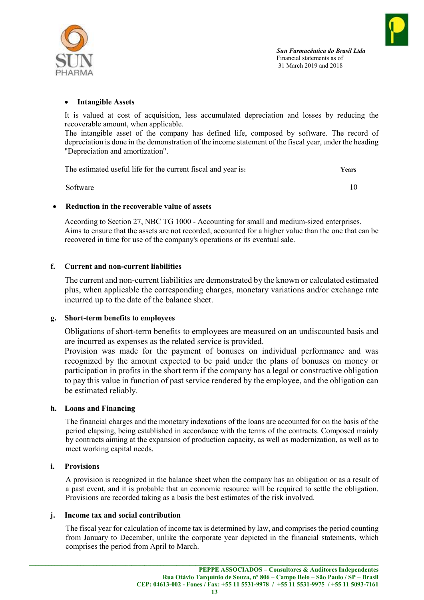



#### Intangible Assets

It is valued at cost of acquisition, less accumulated depreciation and losses by reducing the recoverable amount, when applicable.

The intangible asset of the company has defined life, composed by software. The record of depreciation is done in the demonstration of the income statement of the fiscal year, under the heading "Depreciation and amortization".

The estimated useful life for the current fiscal and year is: Years

Software 10

#### Reduction in the recoverable value of assets

According to Section 27, NBC TG 1000 - Accounting for small and medium-sized enterprises. Aims to ensure that the assets are not recorded, accounted for a higher value than the one that can be recovered in time for use of the company's operations or its eventual sale.

#### f. Current and non-current liabilities

The current and non-current liabilities are demonstrated by the known or calculated estimated plus, when applicable the corresponding charges, monetary variations and/or exchange rate incurred up to the date of the balance sheet.

#### g. Short-term benefits to employees

Obligations of short-term benefits to employees are measured on an undiscounted basis and are incurred as expenses as the related service is provided.

Provision was made for the payment of bonuses on individual performance and was recognized by the amount expected to be paid under the plans of bonuses on money or participation in profits in the short term if the company has a legal or constructive obligation to pay this value in function of past service rendered by the employee, and the obligation can be estimated reliably.

#### h. Loans and Financing

The financial charges and the monetary indexations of the loans are accounted for on the basis of the period elapsing, being established in accordance with the terms of the contracts. Composed mainly by contracts aiming at the expansion of production capacity, as well as modernization, as well as to meet working capital needs.

#### i. Provisions

A provision is recognized in the balance sheet when the company has an obligation or as a result of a past event, and it is probable that an economic resource will be required to settle the obligation. Provisions are recorded taking as a basis the best estimates of the risk involved.

#### j. Income tax and social contribution

The fiscal year for calculation of income tax is determined by law, and comprises the period counting from January to December, unlike the corporate year depicted in the financial statements, which comprises the period from April to March.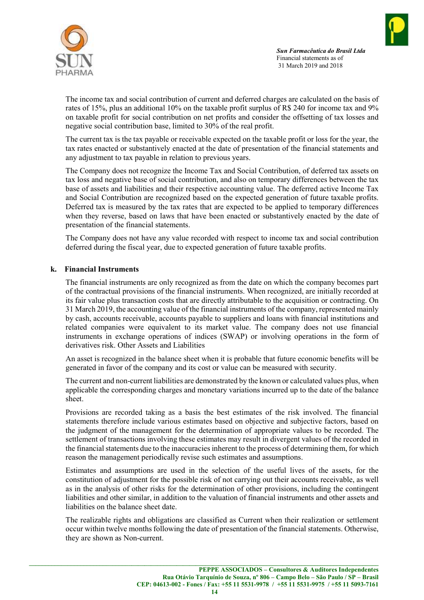



The income tax and social contribution of current and deferred charges are calculated on the basis of rates of 15%, plus an additional 10% on the taxable profit surplus of R\$ 240 for income tax and 9% on taxable profit for social contribution on net profits and consider the offsetting of tax losses and negative social contribution base, limited to 30% of the real profit.

The current tax is the tax payable or receivable expected on the taxable profit or loss for the year, the tax rates enacted or substantively enacted at the date of presentation of the financial statements and any adjustment to tax payable in relation to previous years.

The Company does not recognize the Income Tax and Social Contribution, of deferred tax assets on tax loss and negative base of social contribution, and also on temporary differences between the tax base of assets and liabilities and their respective accounting value. The deferred active Income Tax and Social Contribution are recognized based on the expected generation of future taxable profits. Deferred tax is measured by the tax rates that are expected to be applied to temporary differences when they reverse, based on laws that have been enacted or substantively enacted by the date of presentation of the financial statements.

The Company does not have any value recorded with respect to income tax and social contribution deferred during the fiscal year, due to expected generation of future taxable profits.

#### k. Financial Instruments

The financial instruments are only recognized as from the date on which the company becomes part of the contractual provisions of the financial instruments. When recognized, are initially recorded at its fair value plus transaction costs that are directly attributable to the acquisition or contracting. On 31 March 2019, the accounting value of the financial instruments of the company, represented mainly by cash, accounts receivable, accounts payable to suppliers and loans with financial institutions and related companies were equivalent to its market value. The company does not use financial instruments in exchange operations of indices (SWAP) or involving operations in the form of derivatives risk. Other Assets and Liabilities

An asset is recognized in the balance sheet when it is probable that future economic benefits will be generated in favor of the company and its cost or value can be measured with security.

The current and non-current liabilities are demonstrated by the known or calculated values plus, when applicable the corresponding charges and monetary variations incurred up to the date of the balance sheet.

Provisions are recorded taking as a basis the best estimates of the risk involved. The financial statements therefore include various estimates based on objective and subjective factors, based on the judgment of the management for the determination of appropriate values to be recorded. The settlement of transactions involving these estimates may result in divergent values of the recorded in the financial statements due to the inaccuracies inherent to the process of determining them, for which reason the management periodically revise such estimates and assumptions.

Estimates and assumptions are used in the selection of the useful lives of the assets, for the constitution of adjustment for the possible risk of not carrying out their accounts receivable, as well as in the analysis of other risks for the determination of other provisions, including the contingent liabilities and other similar, in addition to the valuation of financial instruments and other assets and liabilities on the balance sheet date.

The realizable rights and obligations are classified as Current when their realization or settlement occur within twelve months following the date of presentation of the financial statements. Otherwise, they are shown as Non-current.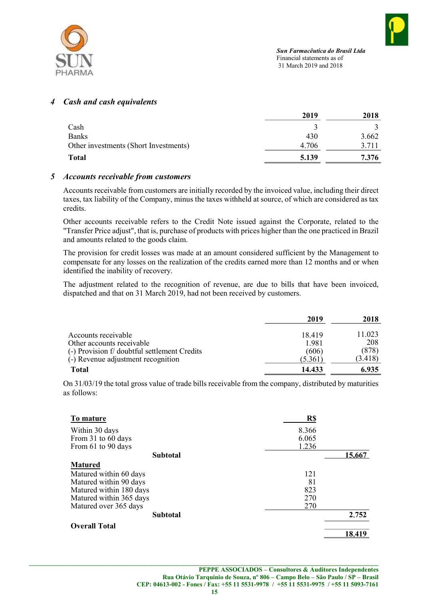

#### 4 Cash and cash equivalents

|                                       | 2019  | 2018  |
|---------------------------------------|-------|-------|
| Cash                                  |       |       |
| <b>Banks</b>                          | 430   | 3.662 |
| Other investments (Short Investments) | 4.706 | 3.711 |
| <b>Total</b>                          | 5.139 | 7.376 |

#### 5 Accounts receivable from customers

Accounts receivable from customers are initially recorded by the invoiced value, including their direct taxes, tax liability of the Company, minus the taxes withheld at source, of which are considered as tax credits.

Other accounts receivable refers to the Credit Note issued against the Corporate, related to the "Transfer Price adjust", that is, purchase of products with prices higher than the one practiced in Brazil and amounts related to the goods claim.

The provision for credit losses was made at an amount considered sufficient by the Management to compensate for any losses on the realization of the credits earned more than 12 months and or when identified the inability of recovery.

The adjustment related to the recognition of revenue, are due to bills that have been invoiced, dispatched and that on 31 March 2019, had not been received by customers.

|                                                                           | 2019           | 2018         |
|---------------------------------------------------------------------------|----------------|--------------|
| Accounts receivable                                                       | 18.419         | 11.023       |
| Other accounts receivable<br>(-) Provision f/ doubtful settlement Credits | 1.981<br>(606) | 208<br>(878) |
| (-) Revenue adjustment recognition                                        | (5.361)        | (3.418)      |
| <b>Total</b>                                                              | 14.433         | 6.935        |

On 31/03/19 the total gross value of trade bills receivable from the company, distributed by maturities as follows:

| To mature               | R\$   |        |
|-------------------------|-------|--------|
| Within 30 days          | 8.366 |        |
| From 31 to 60 days      | 6.065 |        |
| From 61 to 90 days      | 1.236 |        |
| <b>Subtotal</b>         |       | 15,667 |
| <b>Matured</b>          |       |        |
| Matured within 60 days  | 121   |        |
| Matured within 90 days  | 81    |        |
| Matured within 180 days | 823   |        |
| Matured within 365 days | 270   |        |
| Matured over 365 days   | 270   |        |
| <b>Subtotal</b>         |       | 2,752  |
| <b>Overall Total</b>    |       |        |
|                         |       | 18,419 |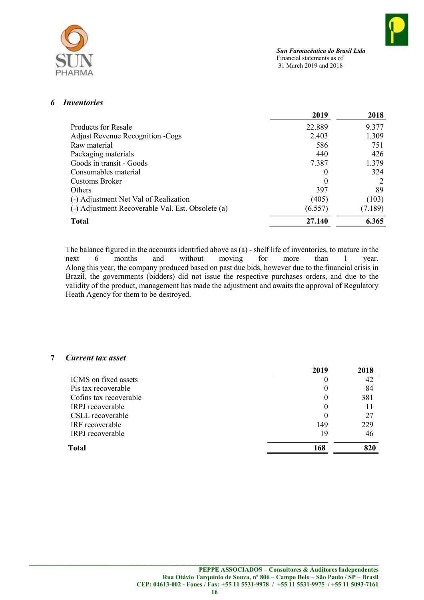

## 6 Inventories

|                                                   | 2019    | 2018    |
|---------------------------------------------------|---------|---------|
| Products for Resale                               | 22.889  | 9.377   |
| <b>Adjust Revenue Recognition - Cogs</b>          | 2.403   | 1.309   |
| Raw material                                      | 586     | 751     |
| Packaging materials                               | 440     | 426     |
| Goods in transit - Goods                          | 7.387   | 1.379   |
| Consumables material                              | 0       | 324     |
| Customs Broker                                    | 0       |         |
| <b>Others</b>                                     | 397     | 89      |
| (-) Adjustment Net Val of Realization             | (405)   | (103)   |
| (-) Adjustment Recoverable Val. Est. Obsolete (a) | (6.557) | (7.189) |
| <b>Total</b>                                      | 27.140  | 6.365   |

The balance figured in the accounts identified above as (a) - shelf life of inventories, to mature in the next 6 months and without moving for more than 1 year. Along this year, the company produced based on past due bids, however due to the financial crisis in Brazil, the governments (bidders) did not issue the respective purchases orders, and due to the validity of the product, management has made the adjustment and awaits the approval of Regulatory Heath Agency for them to be destroyed.

#### 7 Current tax asset

| 2019     | 2018 |
|----------|------|
| O        | 42   |
| 0        | 84   |
| $\theta$ | 381  |
| $\theta$ |      |
|          | 27   |
| 149      | 229  |
| 19       | 46   |
| 168      | 820  |
|          |      |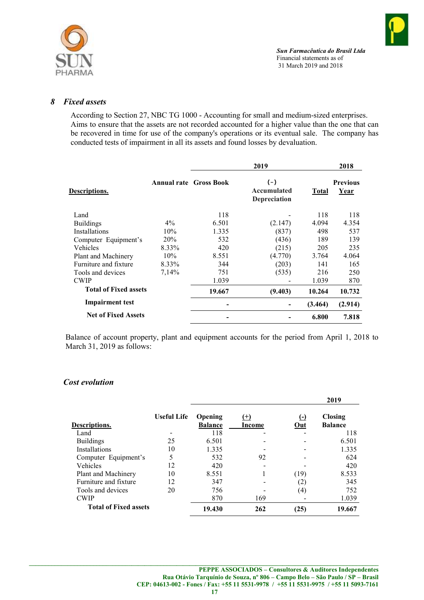

#### 8 Fixed assets

According to Section 27, NBC TG 1000 - Accounting for small and medium-sized enterprises. Aims to ensure that the assets are not recorded accounted for a higher value than the one that can be recovered in time for use of the company's operations or its eventual sale. The company has conducted tests of impairment in all its assets and found losses by devaluation.

|                              |                               |        | 2019                                 |         | 2018                    |  |
|------------------------------|-------------------------------|--------|--------------------------------------|---------|-------------------------|--|
| Descriptions.                | <b>Annual rate Gross Book</b> |        | $(-)$<br>Accumulated<br>Depreciation | Total   | <b>Previous</b><br>Year |  |
| Land                         |                               | 118    |                                      | 118     | 118                     |  |
| <b>Buildings</b>             | $4\%$                         | 6.501  | (2.147)                              | 4.094   | 4.354                   |  |
| <b>Installations</b>         | 10%                           | 1.335  | (837)                                | 498     | 537                     |  |
| Computer Equipment's         | 20%                           | 532    | (436)                                | 189     | 139                     |  |
| Vehicles                     | 8.33%                         | 420    | (215)                                | 205     | 235                     |  |
| Plant and Machinery          | 10%                           | 8.551  | (4.770)                              | 3.764   | 4.064                   |  |
| Furniture and fixture        | 8.33%                         | 344    | (203)                                | 141     | 165                     |  |
| Tools and devices            | 7,14%                         | 751    | (535)                                | 216     | 250                     |  |
| <b>CWIP</b>                  |                               | 1.039  |                                      | 1.039   | 870                     |  |
| <b>Total of Fixed assets</b> |                               | 19.667 | (9.403)                              | 10.264  | 10.732                  |  |
| <b>Impairment test</b>       |                               |        |                                      | (3.464) | (2.914)                 |  |
| <b>Net of Fixed Assets</b>   |                               |        |                                      | 6.800   | 7.818                   |  |

Balance of account property, plant and equipment accounts for the period from April 1, 2018 to March 31, 2019 as follows:

#### Cost evolution

|                              |                    |                                                     |     |            | 2019                             |
|------------------------------|--------------------|-----------------------------------------------------|-----|------------|----------------------------------|
| Descriptions.                | <b>Useful Life</b> | <b>Opening</b><br>$(+)$<br><b>Balance</b><br>Income |     | (-)<br>Out | <b>Closing</b><br><b>Balance</b> |
| Land                         |                    | 118                                                 |     |            | 118                              |
| <b>Buildings</b>             | 25                 | 6.501                                               |     |            | 6.501                            |
| Installations                | 10                 | 1.335                                               |     |            | 1.335                            |
| Computer Equipment's         | 5                  | 532                                                 | 92  |            | 624                              |
| Vehicles                     | 12                 | 420                                                 |     |            | 420                              |
| Plant and Machinery          | 10                 | 8.551                                               |     | (19)       | 8.533                            |
| Furniture and fixture        | 12                 | 347                                                 |     | (2)        | 345                              |
| Tools and devices            | 20                 | 756                                                 |     | (4)        | 752                              |
| <b>CWIP</b>                  |                    | 870                                                 | 169 |            | 1.039                            |
| <b>Total of Fixed assets</b> |                    | 19.430                                              | 262 | (25)       | 19.667                           |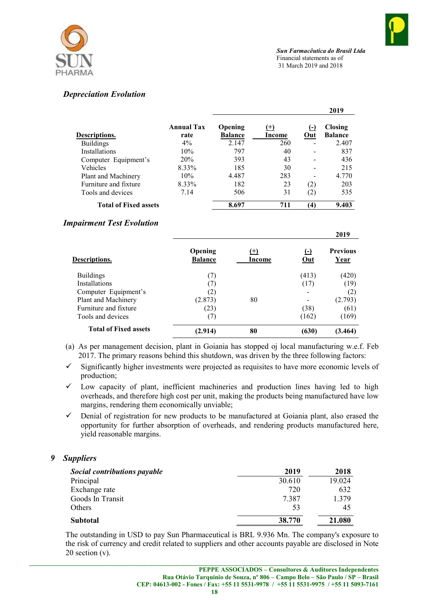

2010

# Depreciation Evolution

|                              |                           |                           |                    |                    | 2019                             |
|------------------------------|---------------------------|---------------------------|--------------------|--------------------|----------------------------------|
| Descriptions.                | <b>Annual Tax</b><br>rate | Opening<br><b>Balance</b> | $^{(+)}$<br>Income | (-)<br>Out         | <b>Closing</b><br><b>Balance</b> |
| <b>Buildings</b>             | $4\%$                     | 2.147                     | 260                |                    | 2.407                            |
| Installations                | 10%                       | 797                       | 40                 |                    | 837                              |
| Computer Equipment's         | 20%                       | 393                       | 43                 |                    | 436                              |
| Vehicles                     | 8.33%                     | 185                       | 30                 |                    | 215                              |
| Plant and Machinery          | 10%                       | 4.487                     | 283                |                    | 4.770                            |
| Furniture and fixture        | 8.33%                     | 182                       | 23                 | (2)                | 203                              |
| Tools and devices            | 7.14                      | 506                       | 31                 | (2)                | 535                              |
| <b>Total of Fixed assets</b> |                           | 8.697                     | 711                | $\left( 4 \right)$ | 9.403                            |

# Impairment Test Evolution

|                              |                           |                    |              | 4V L J                         |
|------------------------------|---------------------------|--------------------|--------------|--------------------------------|
| Descriptions.                | Opening<br><b>Balance</b> | $^{(+)}$<br>Income | $(-)$<br>Out | <b>Previous</b><br><u>Year</u> |
| <b>Buildings</b>             | (7)                       |                    | (413)        | (420)                          |
| Installations                | (7)                       |                    | (17)         | (19)                           |
| Computer Equipment's         | (2)                       |                    |              | (2)                            |
| Plant and Machinery          | (2.873)                   | 80                 |              | (2.793)                        |
| Furniture and fixture        | (23)                      |                    | (38)         | (61)                           |
| Tools and devices            | (7)                       |                    | (162)        | (169)                          |
| <b>Total of Fixed assets</b> | (2.914)                   | 80                 | (630)        | (3.464)                        |

- (a) As per management decision, plant in Goiania has stopped oj local manufacturing w.e.f. Feb 2017. The primary reasons behind this shutdown, was driven by the three following factors:
- Significantly higher investments were projected as requisites to have more economic levels of production;
- $\checkmark$  Low capacity of plant, inefficient machineries and production lines having led to high overheads, and therefore high cost per unit, making the products being manufactured have low margins, rendering them economically unviable;
- $\checkmark$  Denial of registration for new products to be manufactured at Goiania plant, also erased the opportunity for further absorption of overheads, and rendering products manufactured here, yield reasonable margins.

# 9 Suppliers

| <b>Social contributions payable</b> | 2019   | 2018   |
|-------------------------------------|--------|--------|
| Principal                           | 30.610 | 19.024 |
| Exchange rate                       | 720    | 632    |
| Goods In Transit                    | 7.387  | 1.379  |
| Others                              | 53     | 45     |
| Subtotal                            | 38.770 | 21.080 |

The outstanding in USD to pay Sun Pharmaceutical is BRL 9.936 Mn. The company's exposure to the risk of currency and credit related to suppliers and other accounts payable are disclosed in Note 20 section (v).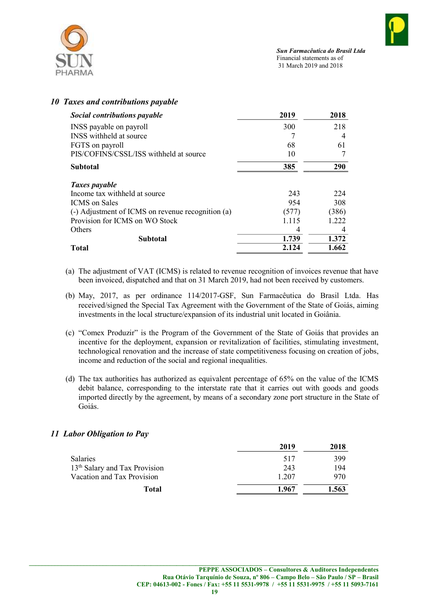

## 10 Taxes and contributions payable

| <b>Social contributions payable</b>               | 2019  | 2018  |
|---------------------------------------------------|-------|-------|
| INSS payable on payroll                           | 300   | 218   |
| INSS withheld at source.                          |       |       |
| FGTS on payroll                                   | 68    | 61    |
| PIS/COFINS/CSSL/ISS withheld at source            | 10    |       |
| <b>Subtotal</b>                                   | 385   | 290   |
| Taxes payable                                     |       |       |
| Income tax withheld at source                     | 243   | 224   |
| <b>ICMS</b> on Sales                              | 954   | 308   |
| (-) Adjustment of ICMS on revenue recognition (a) | (577) | (386) |
| Provision for ICMS on WO Stock                    | 1.115 | 1.222 |
| Others                                            | 4     | 4     |
| Subtotal                                          | 1.739 | 1.372 |
| <b>Total</b>                                      | 2.124 | 1.662 |

- (a) The adjustment of VAT (ICMS) is related to revenue recognition of invoices revenue that have been invoiced, dispatched and that on 31 March 2019, had not been received by customers.
- (b) May, 2017, as per ordinance 114/2017-GSF, Sun Farmacêutica do Brasil Ltda. Has received/signed the Special Tax Agreement with the Government of the State of Goiás, aiming investments in the local structure/expansion of its industrial unit located in Goiânia.
- (c) "Comex Produzir" is the Program of the Government of the State of Goiás that provides an incentive for the deployment, expansion or revitalization of facilities, stimulating investment, technological renovation and the increase of state competitiveness focusing on creation of jobs, income and reduction of the social and regional inequalities.
- (d) The tax authorities has authorized as equivalent percentage of 65% on the value of the ICMS debit balance, corresponding to the interstate rate that it carries out with goods and goods imported directly by the agreement, by means of a secondary zone port structure in the State of Goiás.

# 11 Labor Obligation to Pay

|                                           | 2019  | 2018  |
|-------------------------------------------|-------|-------|
| <b>Salaries</b>                           | 517   | 399   |
| 13 <sup>th</sup> Salary and Tax Provision | 243   | 194   |
| Vacation and Tax Provision                | 1.207 | 970   |
| Total                                     | 1.967 | 1.563 |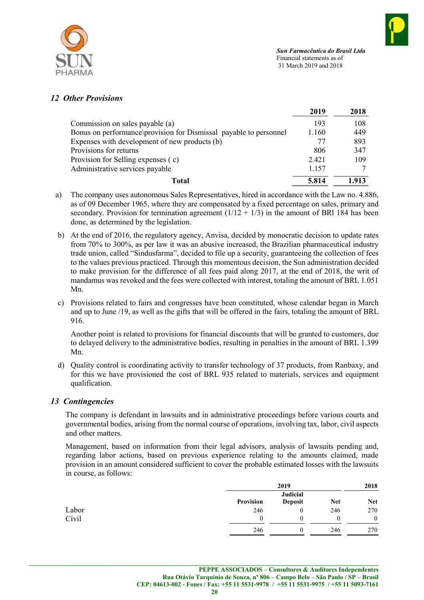

## 12 Other Provisions

|                                                                   | 2019  | 2018  |
|-------------------------------------------------------------------|-------|-------|
| Commission on sales payable (a)                                   | 193   | 108   |
| Bonus on performance\provision for Dismissal payable to personnel | 1.160 | 449   |
| Expenses with development of new products (b)                     | 77    | 893   |
| Provisions for returns                                            | 806   | 347   |
| Provision for Selling expenses (c)                                | 2.421 | 109   |
| Administrative services payable                                   | 1.157 |       |
| Total                                                             | 5.814 | 1.913 |

- a) The company uses autonomous Sales Representatives, hired in accordance with the Law no. 4.886, as of 09 December 1965, where they are compensated by a fixed percentage on sales, primary and secondary. Provision for termination agreement  $(1/12 + 1/3)$  in the amount of BRI 184 has been done, as determined by the legislation.
- b) At the end of 2016, the regulatory agency, Anvisa, decided by monocratic decision to update rates from 70% to 300%, as per law it was an abusive increased, the Brazilian pharmaceutical industry trade union, called "Sindusfarma", decided to file up a security, guaranteeing the collection of fees to the values previous practiced. Through this momentous decision, the Sun administration decided to make provision for the difference of all fees paid along 2017, at the end of 2018, the writ of mandamus was revoked and the fees were collected with interest, totaling the amount of BRL 1.051 Mn.
- c) Provisions related to fairs and congresses have been constituted, whose calendar began in March and up to June /19, as well as the gifts that will be offered in the fairs, totaling the amount of BRL 916.

Another point is related to provisions for financial discounts that will be granted to customers, due to delayed delivery to the administrative bodies, resulting in penalties in the amount of BRL 1.399 Mn.

d) Quality control is coordinating activity to transfer technology of 37 products, from Ranbaxy, and for this we have provisioned the cost of BRL 935 related to materials, services and equipment qualification.

# 13 Contingencies

The company is defendant in lawsuits and in administrative proceedings before various courts and governmental bodies, arising from the normal course of operations, involving tax, labor, civil aspects and other matters.

Management, based on information from their legal advisors, analysis of lawsuits pending and, regarding labor actions, based on previous experience relating to the amounts claimed, made provision in an amount considered sufficient to cover the probable estimated losses with the lawsuits in course, as follows:

|       |           | 2019            |            | 2018         |
|-------|-----------|-----------------|------------|--------------|
|       |           | <b>Judicial</b> |            |              |
|       | Provision | <b>Deposit</b>  | <b>Net</b> | <b>Net</b>   |
| Labor | 246       | 0               | 246        | 270          |
| Civil | 0         | $^{()}$         | 0          | $\mathbf{0}$ |
|       | 246       |                 | 246        | 270          |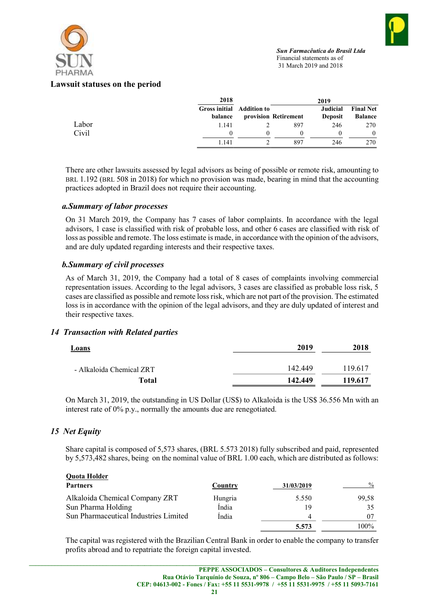

#### Lawsuit statuses on the period

|       | 2018                                 |                      | 2019                              |                                    |
|-------|--------------------------------------|----------------------|-----------------------------------|------------------------------------|
|       | Gross initial Addition to<br>balance | provision Retirement | <b>Judicial</b><br><b>Deposit</b> | <b>Final Net</b><br><b>Balance</b> |
| Labor | 1.141                                | 897                  | 246                               | 270                                |
| Civil |                                      |                      |                                   | 0                                  |
|       | 1.141                                | 897                  | 246                               | 270                                |

There are other lawsuits assessed by legal advisors as being of possible or remote risk, amounting to BRL 1.192 (BRL 508 in 2018) for which no provision was made, bearing in mind that the accounting practices adopted in Brazil does not require their accounting.

#### a.Summary of labor processes

On 31 March 2019, the Company has 7 cases of labor complaints. In accordance with the legal advisors, 1 case is classified with risk of probable loss, and other 6 cases are classified with risk of loss as possible and remote. The loss estimate is made, in accordance with the opinion of the advisors, and are duly updated regarding interests and their respective taxes.

## b.Summary of civil processes

As of March 31, 2019, the Company had a total of 8 cases of complaints involving commercial representation issues. According to the legal advisors, 3 cases are classified as probable loss risk, 5 cases are classified as possible and remote loss risk, which are not part of the provision. The estimated loss is in accordance with the opinion of the legal advisors, and they are duly updated of interest and their respective taxes.

#### 14 Transaction with Related parties

| <b>Loans</b>             | 2019    | 2018    |
|--------------------------|---------|---------|
| - Alkaloida Chemical ZRT | 142.449 | 119.617 |
| Total                    | 142.449 | 119.617 |

On March 31, 2019, the outstanding in US Dollar (US\$) to Alkaloida is the US\$ 36.556 Mn with an interest rate of 0% p.y., normally the amounts due are renegotiated.

# 15 Net Equity

Share capital is composed of 5,573 shares, (BRL 5.573 2018) fully subscribed and paid, represented by 5,573,482 shares, being on the nominal value of BRL 1.00 each, which are distributed as follows:

| <b>Quota Holder</b>                   |         |            |               |
|---------------------------------------|---------|------------|---------------|
| <b>Partners</b>                       | Country | 31/03/2019 | $\frac{0}{0}$ |
| Alkaloida Chemical Company ZRT        | Hungria | 5.550      | 99,58         |
| Sun Pharma Holding                    | Índia   | 19         |               |
| Sun Pharmaceutical Industries Limited | Índia   | 4          |               |
|                                       |         | 5.573      | $100\%$       |

The capital was registered with the Brazilian Central Bank in order to enable the company to transfer profits abroad and to repatriate the foreign capital invested.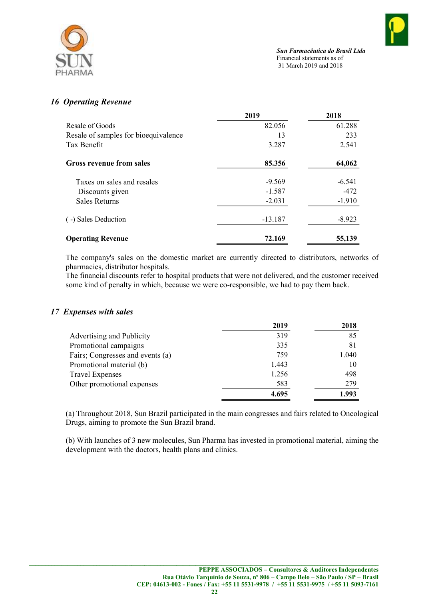

# 16 Operating Revenue

|                                      | 2019      | 2018     |
|--------------------------------------|-----------|----------|
| Resale of Goods                      | 82.056    | 61.288   |
| Resale of samples for bioequivalence | 13        | 233      |
| Tax Benefit                          | 3.287     | 2.541    |
| <b>Gross revenue from sales</b>      | 85.356    | 64,062   |
| Taxes on sales and resales           | $-9.569$  | $-6.541$ |
| Discounts given                      | $-1.587$  | $-472$   |
| <b>Sales Returns</b>                 | $-2.031$  | $-1.910$ |
| (-) Sales Deduction                  | $-13.187$ | $-8.923$ |
| <b>Operating Revenue</b>             | 72.169    | 55,139   |

The company's sales on the domestic market are currently directed to distributors, networks of pharmacies, distributor hospitals.

The financial discounts refer to hospital products that were not delivered, and the customer received some kind of penalty in which, because we were co-responsible, we had to pay them back.

#### 17 Expenses with sales

|                                  | 2019  | 2018  |
|----------------------------------|-------|-------|
| Advertising and Publicity        | 319   | 85    |
| Promotional campaigns            | 335   | 81    |
| Fairs; Congresses and events (a) | 759   | 1.040 |
| Promotional material (b)         | 1.443 | 10    |
| <b>Travel Expenses</b>           | 1.256 | 498   |
| Other promotional expenses       | 583   | 279   |
|                                  | 4.695 | 1.993 |

(a) Throughout 2018, Sun Brazil participated in the main congresses and fairs related to Oncological Drugs, aiming to promote the Sun Brazil brand.

(b) With launches of 3 new molecules, Sun Pharma has invested in promotional material, aiming the development with the doctors, health plans and clinics.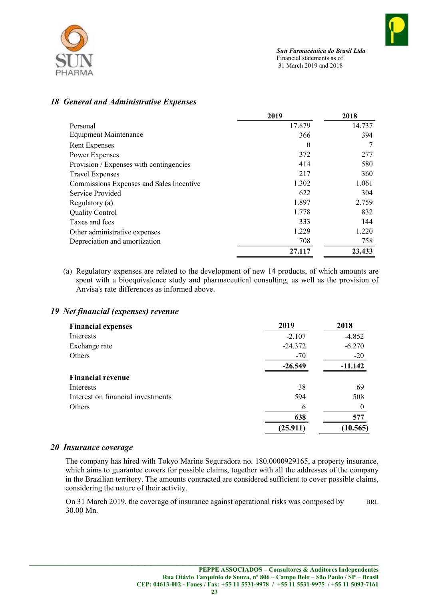

## 18 General and Administrative Expenses

|                                          | 2019   | 2018   |
|------------------------------------------|--------|--------|
| Personal                                 | 17.879 | 14.737 |
| <b>Equipment Maintenance</b>             | 366    | 394    |
| Rent Expenses                            | 0      | 7      |
| Power Expenses                           | 372    | 277    |
| Provision / Expenses with contingencies  | 414    | 580    |
| <b>Travel Expenses</b>                   | 217    | 360    |
| Commissions Expenses and Sales Incentive | 1.302  | 1.061  |
| Service Provided                         | 622    | 304    |
| Regulatory $(a)$                         | 1.897  | 2.759  |
| <b>Quality Control</b>                   | 1.778  | 832    |
| Taxes and fees                           | 333    | 144    |
| Other administrative expenses            | 1.229  | 1.220  |
| Depreciation and amortization            | 708    | 758    |
|                                          | 27.117 | 23.433 |

(a) Regulatory expenses are related to the development of new 14 products, of which amounts are spent with a bioequivalence study and pharmaceutical consulting, as well as the provision of Anvisa's rate differences as informed above.

## 19 Net financial (expenses) revenue

| <b>Financial expenses</b>         | 2019      | 2018      |
|-----------------------------------|-----------|-----------|
| Interests                         | $-2.107$  | $-4.852$  |
| Exchange rate                     | $-24.372$ | $-6.270$  |
| Others                            | $-70$     | $-20$     |
|                                   | $-26.549$ | $-11.142$ |
| <b>Financial revenue</b>          |           |           |
| Interests                         | 38        | 69        |
| Interest on financial investments | 594       | 508       |
| Others                            | 6         |           |
|                                   | 638       | 577       |
|                                   | (25.911)  | (10.565)  |

#### 20 Insurance coverage

The company has hired with Tokyo Marine Seguradora no. 180.0000929165, a property insurance, which aims to guarantee covers for possible claims, together with all the addresses of the company in the Brazilian territory. The amounts contracted are considered sufficient to cover possible claims, considering the nature of their activity.

On 31 March 2019, the coverage of insurance against operational risks was composed by BRL 30.00 Mn.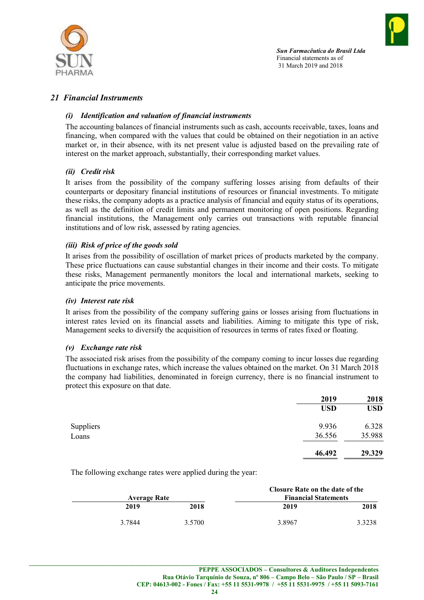



## 21 Financial Instruments

#### (i) Identification and valuation of financial instruments

The accounting balances of financial instruments such as cash, accounts receivable, taxes, loans and financing, when compared with the values that could be obtained on their negotiation in an active market or, in their absence, with its net present value is adjusted based on the prevailing rate of interest on the market approach, substantially, their corresponding market values.

#### (ii) Credit risk

It arises from the possibility of the company suffering losses arising from defaults of their counterparts or depositary financial institutions of resources or financial investments. To mitigate these risks, the company adopts as a practice analysis of financial and equity status of its operations, as well as the definition of credit limits and permanent monitoring of open positions. Regarding financial institutions, the Management only carries out transactions with reputable financial institutions and of low risk, assessed by rating agencies.

#### (iii) Risk of price of the goods sold

It arises from the possibility of oscillation of market prices of products marketed by the company. These price fluctuations can cause substantial changes in their income and their costs. To mitigate these risks, Management permanently monitors the local and international markets, seeking to anticipate the price movements.

#### (iv) Interest rate risk

It arises from the possibility of the company suffering gains or losses arising from fluctuations in interest rates levied on its financial assets and liabilities. Aiming to mitigate this type of risk, Management seeks to diversify the acquisition of resources in terms of rates fixed or floating.

#### (v) Exchange rate risk

The associated risk arises from the possibility of the company coming to incur losses due regarding fluctuations in exchange rates, which increase the values obtained on the market. On 31 March 2018 the company had liabilities, denominated in foreign currency, there is no financial instrument to protect this exposure on that date.

| 2019       | 2018       |
|------------|------------|
| <b>USD</b> | <b>USD</b> |
| 9.936      | 6.328      |
| 36.556     | 35.988     |
| 46.492     | 29.329     |
|            |            |

The following exchange rates were applied during the year:

|                     |        |                             | Closure Rate on the date of the |        |
|---------------------|--------|-----------------------------|---------------------------------|--------|
| <b>Average Rate</b> |        | <b>Financial Statements</b> |                                 |        |
|                     | 2019   | 2018                        | 2019                            | 2018   |
|                     | 3.7844 | 3.5700                      | 3.8967                          | 3.3238 |